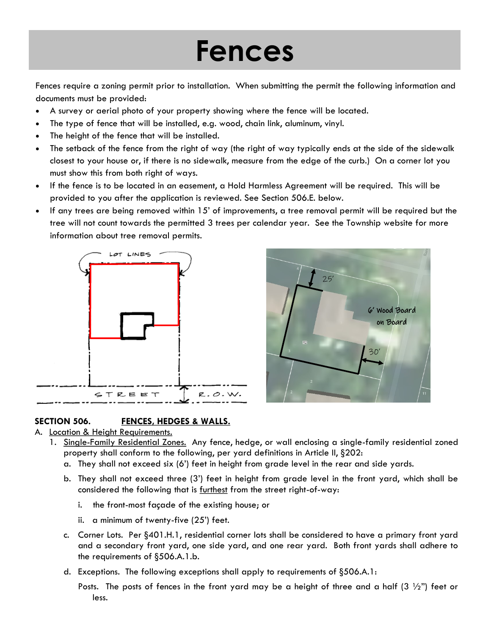## **Fences**

Fences require a zoning permit prior to installation. When submitting the permit the following information and documents must be provided:

- A survey or aerial photo of your property showing where the fence will be located.
- The type of fence that will be installed, e.g. wood, chain link, aluminum, vinyl.
- The height of the fence that will be installed.
- The setback of the fence from the right of way (the right of way typically ends at the side of the sidewalk closest to your house or, if there is no sidewalk, measure from the edge of the curb.) On a corner lot you must show this from both right of ways.
- If the fence is to be located in an easement, a Hold Harmless Agreement will be required. This will be provided to you after the application is reviewed. See Section 506.E. below.
- If any trees are being removed within 15' of improvements, a tree removal permit will be required but the tree will not count towards the permitted 3 trees per calendar year. See the Township website for more information about tree removal permits.





## **SECTION 506. FENCES, HEDGES & WALLS.**

## A. Location & Height Requirements.

- 1. Single-Family Residential Zones. Any fence, hedge, or wall enclosing a single-family residential zoned property shall conform to the following, per yard definitions in Article II, §202:
	- a. They shall not exceed six (6') feet in height from grade level in the rear and side yards.
	- b. They shall not exceed three (3') feet in height from grade level in the front yard, which shall be considered the following that is furthest from the street right-of-way:
		- i. the front-most façade of the existing house; or
		- ii. a minimum of twenty-five (25') feet.
	- c. Corner Lots. Per §401.H.1, residential corner lots shall be considered to have a primary front yard and a secondary front yard, one side yard, and one rear yard. Both front yards shall adhere to the requirements of §506.A.1.b.
	- d. Exceptions. The following exceptions shall apply to requirements of §506.A.1:

Posts. The posts of fences in the front yard may be a height of three and a half  $(3 \frac{1}{2})$  feet or less.